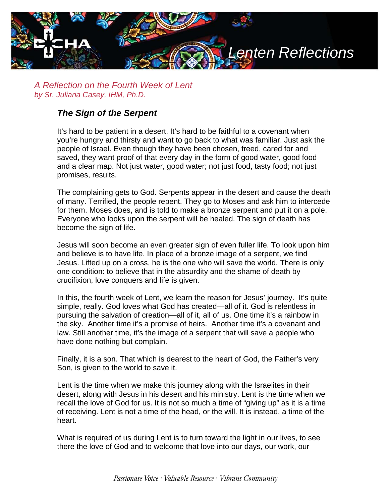

*A Reflection on the Fourth Week of Lent by Sr. Juliana Casey, IHM, Ph.D.*

## *The Sign of the Serpent*

It's hard to be patient in a desert. It's hard to be faithful to a covenant when you're hungry and thirsty and want to go back to what was familiar. Just ask the people of Israel. Even though they have been chosen, freed, cared for and saved, they want proof of that every day in the form of good water, good food and a clear map. Not just water, good water; not just food, tasty food; not just promises, results.

The complaining gets to God. Serpents appear in the desert and cause the death of many. Terrified, the people repent. They go to Moses and ask him to intercede for them. Moses does, and is told to make a bronze serpent and put it on a pole. Everyone who looks upon the serpent will be healed. The sign of death has become the sign of life.

Jesus will soon become an even greater sign of even fuller life. To look upon him and believe is to have life. In place of a bronze image of a serpent, we find Jesus. Lifted up on a cross, he is the one who will save the world. There is only one condition: to believe that in the absurdity and the shame of death by crucifixion, love conquers and life is given.

In this, the fourth week of Lent, we learn the reason for Jesus' journey. It's quite simple, really. God loves what God has created—all of it. God is relentless in pursuing the salvation of creation—all of it, all of us. One time it's a rainbow in the sky. Another time it's a promise of heirs. Another time it's a covenant and law. Still another time, it's the image of a serpent that will save a people who have done nothing but complain.

Finally, it is a son. That which is dearest to the heart of God, the Father's very Son, is given to the world to save it.

Lent is the time when we make this journey along with the Israelites in their desert, along with Jesus in his desert and his ministry. Lent is the time when we recall the love of God for us. It is not so much a time of "giving up" as it is a time of receiving. Lent is not a time of the head, or the will. It is instead, a time of the heart.

What is required of us during Lent is to turn toward the light in our lives, to see there the love of God and to welcome that love into our days, our work, our